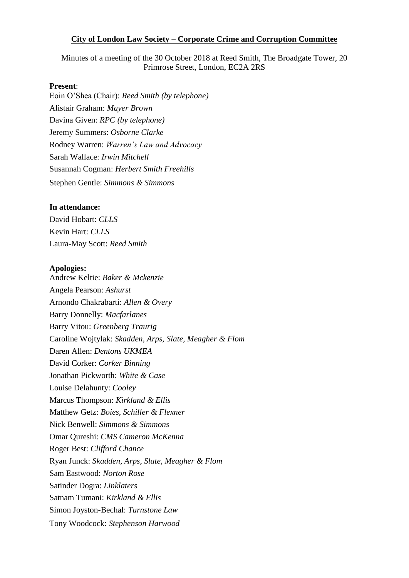#### **City of London Law Society – Corporate Crime and Corruption Committee**

Minutes of a meeting of the 30 October 2018 at Reed Smith, The Broadgate Tower, 20 Primrose Street, London, EC2A 2RS

#### **Present**:

Eoin O'Shea (Chair): *Reed Smith (by telephone)* Alistair Graham: *Mayer Brown* Davina Given: *RPC (by telephone)* Jeremy Summers: *Osborne Clarke* Rodney Warren: *Warren's Law and Advocacy*  Sarah Wallace: *Irwin Mitchell* Susannah Cogman: *Herbert Smith Freehills*  Stephen Gentle: *Simmons & Simmons* 

#### **In attendance:**

David Hobart: *CLLS* Kevin Hart: *CLLS* Laura-May Scott: *Reed Smith*

#### **Apologies:**

Andrew Keltie: *Baker & Mckenzie* Angela Pearson: *Ashurst* Arnondo Chakrabarti: *Allen & Overy* Barry Donnelly: *Macfarlanes* Barry Vitou: *Greenberg Traurig* Caroline Wojtylak: *Skadden, Arps, Slate, Meagher & Flom* Daren Allen: *Dentons UKMEA*  David Corker: *Corker Binning* Jonathan Pickworth: *White & Case* Louise Delahunty: *Cooley* Marcus Thompson: *Kirkland & Ellis* Matthew Getz: *Boies, Schiller & Flexner* Nick Benwell: *Simmons & Simmons* Omar Qureshi: *CMS Cameron McKenna*  Roger Best: *Clifford Chance*  Ryan Junck: *Skadden, Arps, Slate, Meagher & Flom* Sam Eastwood: *Norton Rose* Satinder Dogra: *Linklaters* Satnam Tumani: *Kirkland & Ellis* Simon Joyston-Bechal: *Turnstone Law* Tony Woodcock: *Stephenson Harwood*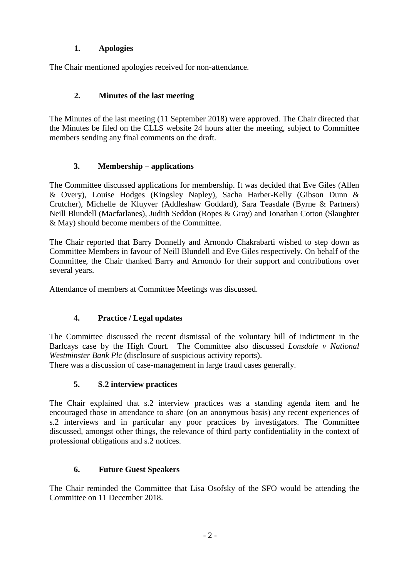## **1. Apologies**

The Chair mentioned apologies received for non-attendance.

## **2. Minutes of the last meeting**

The Minutes of the last meeting (11 September 2018) were approved. The Chair directed that the Minutes be filed on the CLLS website 24 hours after the meeting, subject to Committee members sending any final comments on the draft.

### **3. Membership – applications**

The Committee discussed applications for membership. It was decided that Eve Giles (Allen & Overy), Louise Hodges (Kingsley Napley), Sacha Harber-Kelly (Gibson Dunn & Crutcher), Michelle de Kluyver (Addleshaw Goddard), Sara Teasdale (Byrne & Partners) Neill Blundell (Macfarlanes), Judith Seddon (Ropes & Gray) and Jonathan Cotton (Slaughter & May) should become members of the Committee.

The Chair reported that Barry Donnelly and Arnondo Chakrabarti wished to step down as Committee Members in favour of Neill Blundell and Eve Giles respectively. On behalf of the Committee, the Chair thanked Barry and Arnondo for their support and contributions over several years.

Attendance of members at Committee Meetings was discussed.

# **4. Practice / Legal updates**

The Committee discussed the recent dismissal of the voluntary bill of indictment in the Barlcays case by the High Court. The Committee also discussed *Lonsdale v National Westminster Bank Plc* (disclosure of suspicious activity reports).

There was a discussion of case-management in large fraud cases generally.

# **5. S.2 interview practices**

The Chair explained that s.2 interview practices was a standing agenda item and he encouraged those in attendance to share (on an anonymous basis) any recent experiences of s.2 interviews and in particular any poor practices by investigators. The Committee discussed, amongst other things, the relevance of third party confidentiality in the context of professional obligations and s.2 notices.

### **6. Future Guest Speakers**

The Chair reminded the Committee that Lisa Osofsky of the SFO would be attending the Committee on 11 December 2018.